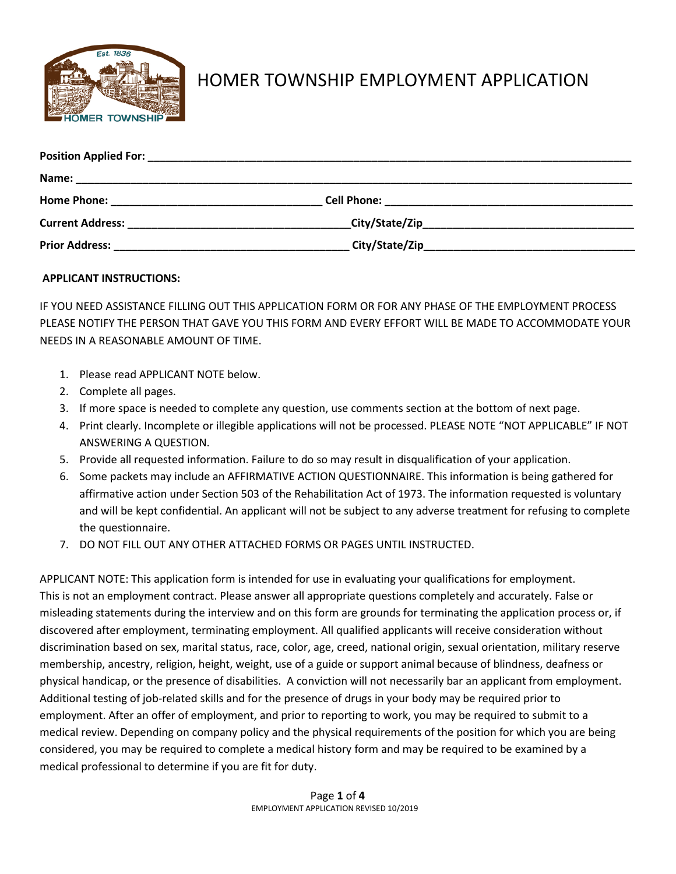

# HOMER TOWNSHIP EMPLOYMENT APPLICATION

| Current Address: National Address and Address and Address and Address and Address and Address and Address and A |  |
|-----------------------------------------------------------------------------------------------------------------|--|
|                                                                                                                 |  |

## **APPLICANT INSTRUCTIONS:**

IF YOU NEED ASSISTANCE FILLING OUT THIS APPLICATION FORM OR FOR ANY PHASE OF THE EMPLOYMENT PROCESS PLEASE NOTIFY THE PERSON THAT GAVE YOU THIS FORM AND EVERY EFFORT WILL BE MADE TO ACCOMMODATE YOUR NEEDS IN A REASONABLE AMOUNT OF TIME.

- 1. Please read APPLICANT NOTE below.
- 2. Complete all pages.
- 3. If more space is needed to complete any question, use comments section at the bottom of next page.
- 4. Print clearly. Incomplete or illegible applications will not be processed. PLEASE NOTE "NOT APPLICABLE" IF NOT ANSWERING A QUESTION.
- 5. Provide all requested information. Failure to do so may result in disqualification of your application.
- 6. Some packets may include an AFFIRMATIVE ACTION QUESTIONNAIRE. This information is being gathered for affirmative action under Section 503 of the Rehabilitation Act of 1973. The information requested is voluntary and will be kept confidential. An applicant will not be subject to any adverse treatment for refusing to complete the questionnaire.
- 7. DO NOT FILL OUT ANY OTHER ATTACHED FORMS OR PAGES UNTIL INSTRUCTED.

APPLICANT NOTE: This application form is intended for use in evaluating your qualifications for employment. This is not an employment contract. Please answer all appropriate questions completely and accurately. False or misleading statements during the interview and on this form are grounds for terminating the application process or, if discovered after employment, terminating employment. All qualified applicants will receive consideration without discrimination based on sex, marital status, race, color, age, creed, national origin, sexual orientation, military reserve membership, ancestry, religion, height, weight, use of a guide or support animal because of blindness, deafness or physical handicap, or the presence of disabilities. A conviction will not necessarily bar an applicant from employment. Additional testing of job-related skills and for the presence of drugs in your body may be required prior to employment. After an offer of employment, and prior to reporting to work, you may be required to submit to a medical review. Depending on company policy and the physical requirements of the position for which you are being considered, you may be required to complete a medical history form and may be required to be examined by a medical professional to determine if you are fit for duty.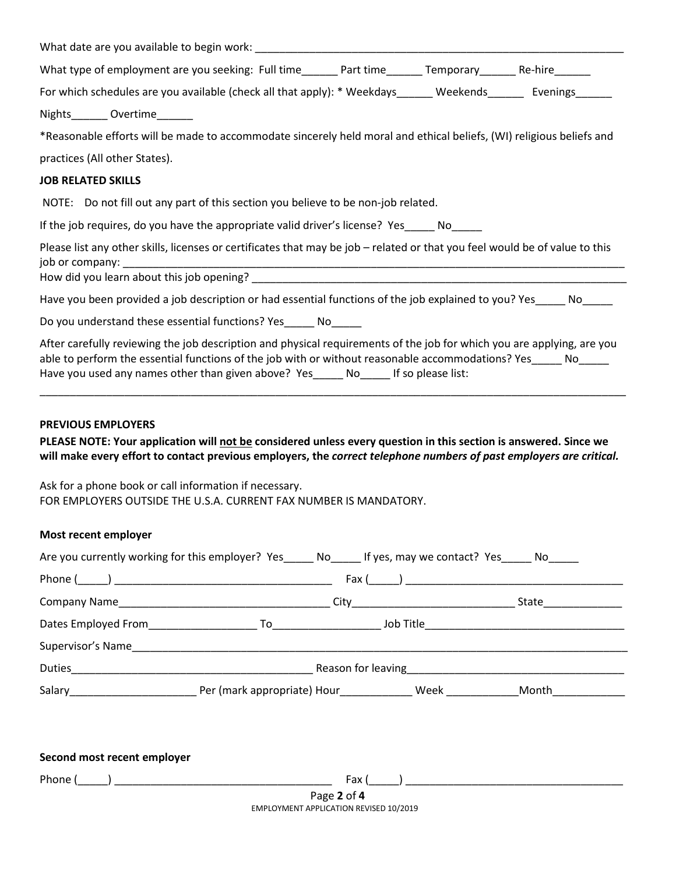|                           | What type of employment are you seeking: Full time______ Part time______ Temporary______ Re-hire______                                                                                                                                                                                                                            |  |  |
|---------------------------|-----------------------------------------------------------------------------------------------------------------------------------------------------------------------------------------------------------------------------------------------------------------------------------------------------------------------------------|--|--|
|                           | For which schedules are you available (check all that apply): * Weekdays______ Weekends_______ Evenings______                                                                                                                                                                                                                     |  |  |
|                           | Nights________ Overtime_______                                                                                                                                                                                                                                                                                                    |  |  |
|                           | *Reasonable efforts will be made to accommodate sincerely held moral and ethical beliefs, (WI) religious beliefs and                                                                                                                                                                                                              |  |  |
|                           | practices (All other States).                                                                                                                                                                                                                                                                                                     |  |  |
| <b>JOB RELATED SKILLS</b> |                                                                                                                                                                                                                                                                                                                                   |  |  |
|                           | NOTE: Do not fill out any part of this section you believe to be non-job related.                                                                                                                                                                                                                                                 |  |  |
|                           | If the job requires, do you have the appropriate valid driver's license? Yes_____ No_____                                                                                                                                                                                                                                         |  |  |
|                           | Please list any other skills, licenses or certificates that may be job - related or that you feel would be of value to this                                                                                                                                                                                                       |  |  |
|                           |                                                                                                                                                                                                                                                                                                                                   |  |  |
|                           | Have you been provided a job description or had essential functions of the job explained to you? Yes______ No_____                                                                                                                                                                                                                |  |  |
|                           | Do you understand these essential functions? Yes______ No_____                                                                                                                                                                                                                                                                    |  |  |
|                           | After carefully reviewing the job description and physical requirements of the job for which you are applying, are you<br>able to perform the essential functions of the job with or without reasonable accommodations? Yes_____ No_____<br>Have you used any names other than given above? Yes______ No______ If so please list: |  |  |
|                           |                                                                                                                                                                                                                                                                                                                                   |  |  |

## **PREVIOUS EMPLOYERS**

**PLEASE NOTE: Your application will not be considered unless every question in this section is answered. Since we will make every effort to contact previous employers, the** *correct telephone numbers of past employers are critical.* 

Ask for a phone book or call information if necessary. FOR EMPLOYERS OUTSIDE THE U.S.A. CURRENT FAX NUMBER IS MANDATORY.

#### **Most recent employer**

|                                    | Are you currently working for this employer? Yes ______ No ______ If yes, may we contact? Yes ______ No _____                                                                                                                  |                                                      |
|------------------------------------|--------------------------------------------------------------------------------------------------------------------------------------------------------------------------------------------------------------------------------|------------------------------------------------------|
|                                    |                                                                                                                                                                                                                                | $\mathsf{Fax}\ (\_\_\_\_\_)\ \_\_\_\_\_\_\_\_\_\_\_$ |
|                                    |                                                                                                                                                                                                                                | State <b>State</b>                                   |
|                                    |                                                                                                                                                                                                                                |                                                      |
|                                    | Supervisor's Name and the state of the state of the state of the state of the state of the state of the state of the state of the state of the state of the state of the state of the state of the state of the state of the s |                                                      |
| <b>Duties Duties Contract 2006</b> |                                                                                                                                                                                                                                | Reason for leaving <b>Exercise 2018</b>              |
|                                    |                                                                                                                                                                                                                                |                                                      |

| Second most recent employer |                                        |  |
|-----------------------------|----------------------------------------|--|
| Phone (                     | Fax (                                  |  |
|                             | Page 2 of 4                            |  |
|                             | EMPLOYMENT APPLICATION REVISED 10/2019 |  |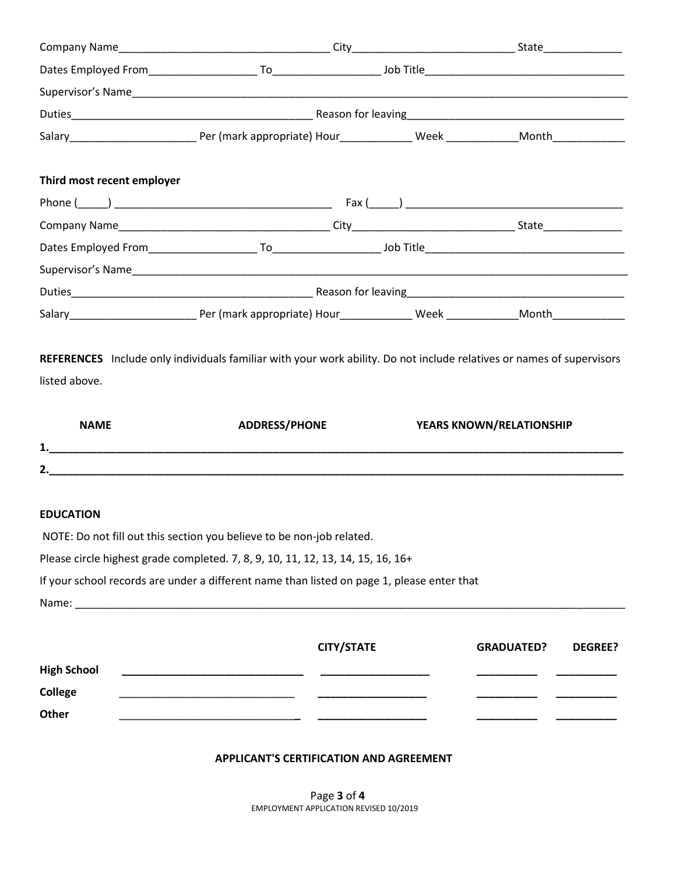| Third most recent employer |                                                                                                                       |  |                          |  |  |  |  |
|----------------------------|-----------------------------------------------------------------------------------------------------------------------|--|--------------------------|--|--|--|--|
|                            |                                                                                                                       |  |                          |  |  |  |  |
|                            |                                                                                                                       |  |                          |  |  |  |  |
|                            |                                                                                                                       |  |                          |  |  |  |  |
|                            |                                                                                                                       |  |                          |  |  |  |  |
|                            |                                                                                                                       |  |                          |  |  |  |  |
|                            |                                                                                                                       |  |                          |  |  |  |  |
|                            | REFERENCES Include only individuals familiar with your work ability. Do not include relatives or names of supervisors |  |                          |  |  |  |  |
| listed above.              |                                                                                                                       |  |                          |  |  |  |  |
| <b>NAME</b>                | <b>ADDRESS/PHONE</b>                                                                                                  |  | YEARS KNOWN/RELATIONSHIP |  |  |  |  |
|                            |                                                                                                                       |  |                          |  |  |  |  |
|                            |                                                                                                                       |  |                          |  |  |  |  |
|                            |                                                                                                                       |  |                          |  |  |  |  |
| <b>EDUCATION</b>           |                                                                                                                       |  |                          |  |  |  |  |
|                            | NOTE: Do not fill out this section you believe to be non-job related.                                                 |  |                          |  |  |  |  |

| Please circle highest grade completed. 7, 8, 9, 10, 11, 12, 13, 14, 15, 16, 16+ |  |  |  |  |
|---------------------------------------------------------------------------------|--|--|--|--|
|                                                                                 |  |  |  |  |

If your school records are under a different name than listed on page 1, please enter that

Name: \_\_\_\_\_\_\_\_\_\_\_\_\_\_\_\_\_\_\_\_\_\_\_\_\_\_\_\_\_\_\_\_\_\_\_\_\_\_\_\_\_\_\_\_\_\_\_\_\_\_\_\_\_\_\_\_\_\_\_\_\_\_\_\_\_\_\_\_\_\_\_\_\_\_\_\_\_\_\_\_\_\_\_\_\_\_\_\_\_\_\_

|                    | <b>CITY/STATE</b> | <b>GRADUATED?</b> | <b>DEGREE?</b> |
|--------------------|-------------------|-------------------|----------------|
| <b>High School</b> |                   |                   |                |
| College            |                   |                   |                |
| Other              |                   |                   |                |

## **APPLICANT'S CERTIFICATION AND AGREEMENT**